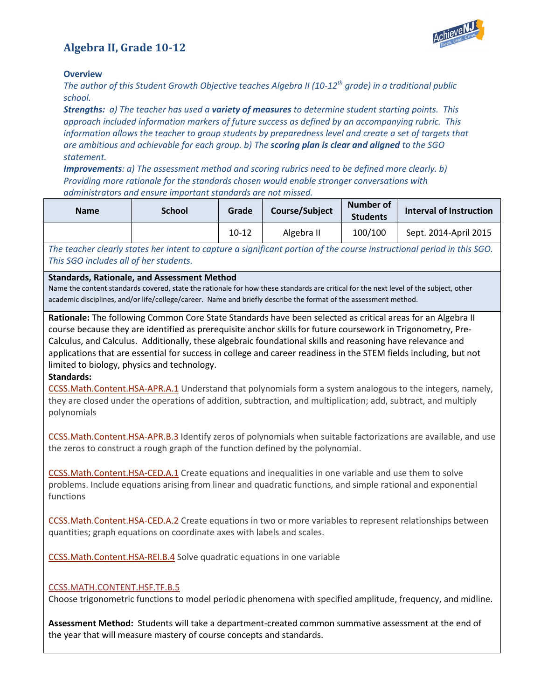# **Algebra II, Grade 10-12**



# **Overview**

*The author of this Student Growth Objective teaches Algebra II (10-12th grade) in a traditional public school.* 

*Strengths: a) The teacher has used a variety of measures to determine student starting points. This approach included information markers of future success as defined by an accompanying rubric. This information allows the teacher to group students by preparedness level and create a set of targets that are ambitious and achievable for each group. b) The scoring plan is clear and aligned to the SGO statement.*

*Improvements: a) The assessment method and scoring rubrics need to be defined more clearly. b) Providing more rationale for the standards chosen would enable stronger conversations with administrators and ensure important standards are not missed.*

| <b>Name</b> | <b>School</b> | Grade     | <b>Course/Subject</b> | Number of<br><b>Students</b> | <b>Interval of Instruction</b> |
|-------------|---------------|-----------|-----------------------|------------------------------|--------------------------------|
|             |               | $10 - 12$ | Algebra II            | 100/100                      | Sept. 2014-April 2015          |

*The teacher clearly states her intent to capture a significant portion of the course instructional period in this SGO. This SGO includes all of her students.* 

## **Standards, Rationale, and Assessment Method**

Name the content standards covered, state the rationale for how these standards are critical for the next level of the subject, other academic disciplines, and/or life/college/career. Name and briefly describe the format of the assessment method.

**Rationale:** The following Common Core State Standards have been selected as critical areas for an Algebra II course because they are identified as prerequisite anchor skills for future coursework in Trigonometry, Pre-Calculus, and Calculus. Additionally, these algebraic foundational skills and reasoning have relevance and applications that are essential for success in college and career readiness in the STEM fields including, but not limited to biology, physics and technology.

## **Standards:**

[CCSS.Math.Content.HSA-APR.A.1](http://www.corestandards.org/Math/Content/HSA/APR/A/1) Understand that polynomials form a system analogous to the integers, namely, they are closed under the operations of addition, subtraction, and multiplication; add, subtract, and multiply polynomials

[CCSS.Math.Content.HSA-APR.B.3](http://www.corestandards.org/Math/Content/HSA/APR/B/3) Identify zeros of polynomials when suitable factorizations are available, and use the zeros to construct a rough graph of the function defined by the polynomial.

[CCSS.Math.Content.HSA-CED.A.1](http://www.corestandards.org/Math/Content/HSA/CED/A/1) Create equations and inequalities in one variable and use them to solve problems. Include equations arising from linear and quadratic functions, and simple rational and exponential functions

[CCSS.Math.Content.HSA-CED.A.2](http://www.corestandards.org/Math/Content/HSA/CED/A/2) Create equations in two or more variables to represent relationships between quantities; graph equations on coordinate axes with labels and scales.

[CCSS.Math.Content.HSA-REI.B.4](http://www.corestandards.org/Math/Content/HSA/REI/B/4) Solve quadratic equations in one variable

## [CCSS.MATH.CONTENT.HSF.TF.B.5](http://www.corestandards.org/Math/Content/HSF/TF/B/5/)

Choose trigonometric functions to model periodic phenomena with specified amplitude, frequency, and midline.

**Assessment Method:** Students will take a department-created common summative assessment at the end of the year that will measure mastery of course concepts and standards.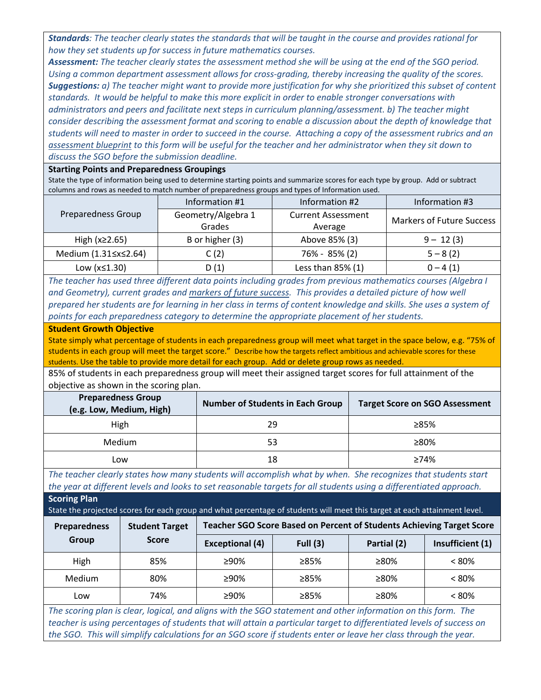*Standards: The teacher clearly states the standards that will be taught in the course and provides rational for how they set students up for success in future mathematics courses.* 

*Assessment: The teacher clearly states the assessment method she will be using at the end of the SGO period. Using a common department assessment allows for cross-grading, thereby increasing the quality of the scores. Suggestions: a) The teacher might want to provide more justification for why she prioritized this subset of content standards. It would be helpful to make this more explicit in order to enable stronger conversations with administrators and peers and facilitate next steps in curriculum planning/assessment. b) The teacher might*  consider describing the assessment format and scoring to enable a discussion about the depth of knowledge that *students will need to master in order to succeed in the course. Attaching a copy of the assessment rubrics and an [assessment blueprint](http://www.state.nj.us/education/AchieveNJ/teacher/AssessmentBlueprintandCompletionGuide.pdf) to this form will be useful for the teacher and her administrator when they sit down to discuss the SGO before the submission deadline.*

#### **Starting Points and Preparedness Groupings**

State the type of information being used to determine starting points and summarize scores for each type by group. Add or subtract columns and rows as needed to match number of preparedness groups and types of Information used.

|                           | Information #1     | Information #2            | Information #3                   |  |
|---------------------------|--------------------|---------------------------|----------------------------------|--|
| <b>Preparedness Group</b> | Geometry/Algebra 1 | <b>Current Assessment</b> | <b>Markers of Future Success</b> |  |
|                           | Grades             | Average                   |                                  |  |
| High $(x\geq 2.65)$       | B or higher (3)    | Above 85% (3)             | $9 - 12(3)$                      |  |
| Medium (1.31 \stds 2.64)  | C(2)               | 76% - 85% (2)             | $5 - 8(2)$                       |  |
| Low $(x \leq 1.30)$       | D(1)               | Less than 85% (1)         | $0 - 4(1)$                       |  |

*The teacher has used three different data points including grades from previous mathematics courses (Algebra I and Geometry), current grades and [markers of future success.](http://www.state.nj.us/education/AchieveNJ/teacher/SampleRubricForImportantMarkersOfFutureSuccess.pdf) This provides a detailed picture of how well prepared her students are for learning in her class in terms of content knowledge and skills. She uses a system of points for each preparedness category to determine the appropriate placement of her students.*

#### **Student Growth Objective**

State simply what percentage of students in each preparedness group will meet what target in the space below, e.g. "75% of students in each group will meet the target score." Describe how the targets reflect ambitious and achievable scores for these students. Use the table to provide more detail for each group. Add or delete group rows as needed.

85% of students in each preparedness group will meet their assigned target scores for full attainment of the objective as shown in the scoring plan.

| <b>Preparedness Group</b><br>(e.g. Low, Medium, High) | <b>Number of Students in Each Group</b> | <b>Target Score on SGO Assessment</b> |  |
|-------------------------------------------------------|-----------------------------------------|---------------------------------------|--|
| High                                                  | 29                                      | ≥85%                                  |  |
| Medium                                                | 53                                      | ≥80%                                  |  |
| Low                                                   | 18                                      | ≥74%                                  |  |

*The teacher clearly states how many students will accomplish what by when. She recognizes that students start the year at different levels and looks to set reasonable targets for all students using a differentiated approach.*

**Scoring Plan**

State the projected scores for each group and what percentage of students will meet this target at each attainment level.

| <b>Preparedness</b> | <b>Student Target</b><br><b>Score</b> | Teacher SGO Score Based on Percent of Students Achieving Target Score |            |             |                  |
|---------------------|---------------------------------------|-----------------------------------------------------------------------|------------|-------------|------------------|
| Group               |                                       | <b>Exceptional (4)</b>                                                | Full $(3)$ | Partial (2) | Insufficient (1) |
| High                | 85%                                   | ≥90%                                                                  | ≥85%       | ≥80%        | < 80%            |
| Medium              | 80%                                   | ≥90%                                                                  | ≥85%       | ≥80%        | $< 80\%$         |
| Low                 | 74%                                   | ≥90%                                                                  | ≥85%       | ≥80%        | $< 80\%$         |

*The scoring plan is clear, logical, and aligns with the SGO statement and other information on this form. The teacher is using percentages of students that will attain a particular target to differentiated levels of success on the SGO. This will simplify calculations for an SGO score if students enter or leave her class through the year.*